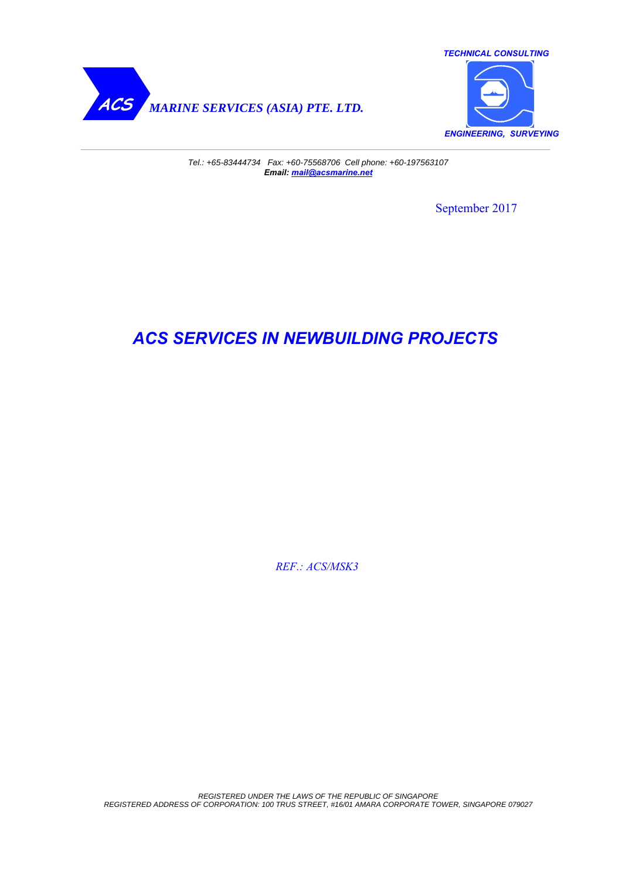



*Tel.: +65-83444734 Fax: +60-75568706 Cell phone: +60-197563107 Email: mail@acsmarine.net*

September 2017

# *ACS SERVICES IN NEWBUILDING PROJECTS*

 *REF.: ACS/MSK3*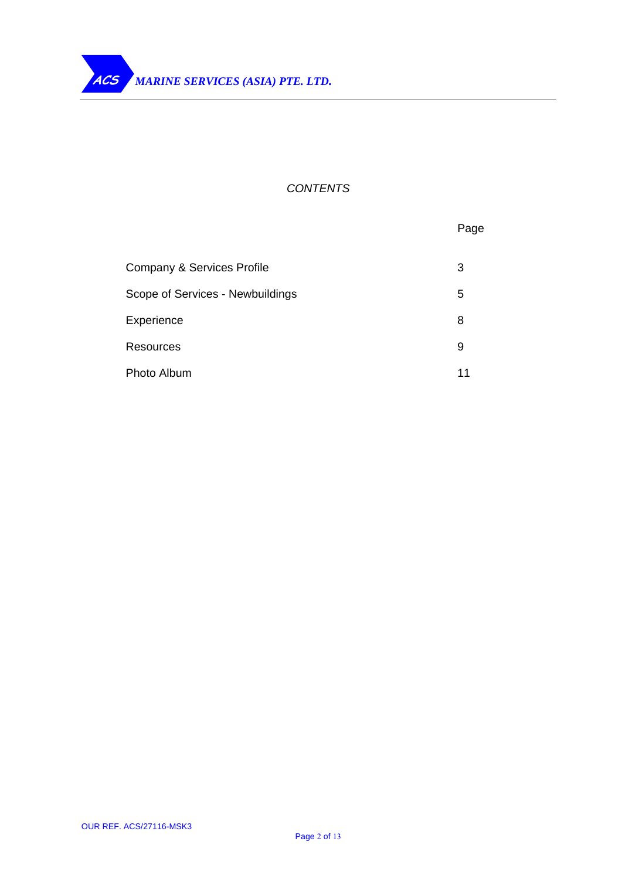## *CONTENTS*

|                                       | Page |
|---------------------------------------|------|
| <b>Company &amp; Services Profile</b> | 3    |
| Scope of Services - Newbuildings      | 5    |
| Experience                            | 8    |
| Resources                             | 9    |
| Photo Album                           | 11   |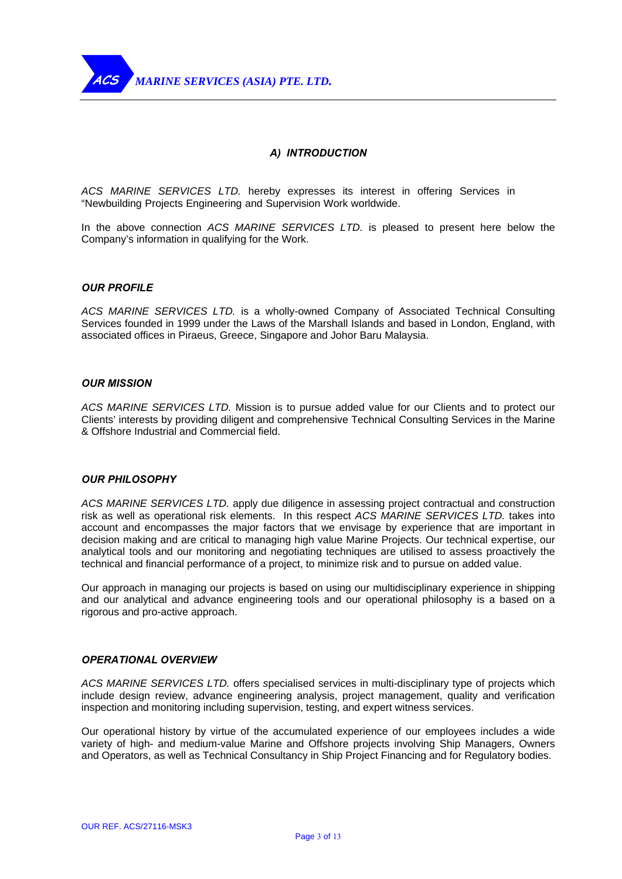

## *A) INTRODUCTION*

*ACS MARINE SERVICES LTD.* hereby expresses its interest in offering Services in "Newbuilding Projects Engineering and Supervision Work worldwide.

In the above connection *ACS MARINE SERVICES LTD.* is pleased to present here below the Company's information in qualifying for the Work.

#### *OUR PROFILE*

*ACS MARINE SERVICES LTD.* is a wholly-owned Company of Associated Technical Consulting Services founded in 1999 under the Laws of the Marshall Islands and based in London, England, with associated offices in Piraeus, Greece, Singapore and Johor Baru Malaysia.

#### *OUR MISSION*

*ACS MARINE SERVICES LTD.* Mission is to pursue added value for our Clients and to protect our Clients' interests by providing diligent and comprehensive Technical Consulting Services in the Marine & Offshore Industrial and Commercial field.

### *OUR PHILOSOPHY*

*ACS MARINE SERVICES LTD.* apply due diligence in assessing project contractual and construction risk as well as operational risk elements. In this respect *ACS MARINE SERVICES LTD.* takes into account and encompasses the major factors that we envisage by experience that are important in decision making and are critical to managing high value Marine Projects. Our technical expertise, our analytical tools and our monitoring and negotiating techniques are utilised to assess proactively the technical and financial performance of a project, to minimize risk and to pursue on added value.

Our approach in managing our projects is based on using our multidisciplinary experience in shipping and our analytical and advance engineering tools and our operational philosophy is a based on a rigorous and pro-active approach.

## *OPERATIONAL OVERVIEW*

*ACS MARINE SERVICES LTD.* offers *s*pecialised services in multi-disciplinary type of projects which include design review, advance engineering analysis, project management, quality and verification inspection and monitoring including supervision, testing, and expert witness services.

Our operational history by virtue of the accumulated experience of our employees includes a wide variety of high- and medium-value Marine and Offshore projects involving Ship Managers, Owners and Operators, as well as Technical Consultancy in Ship Project Financing and for Regulatory bodies.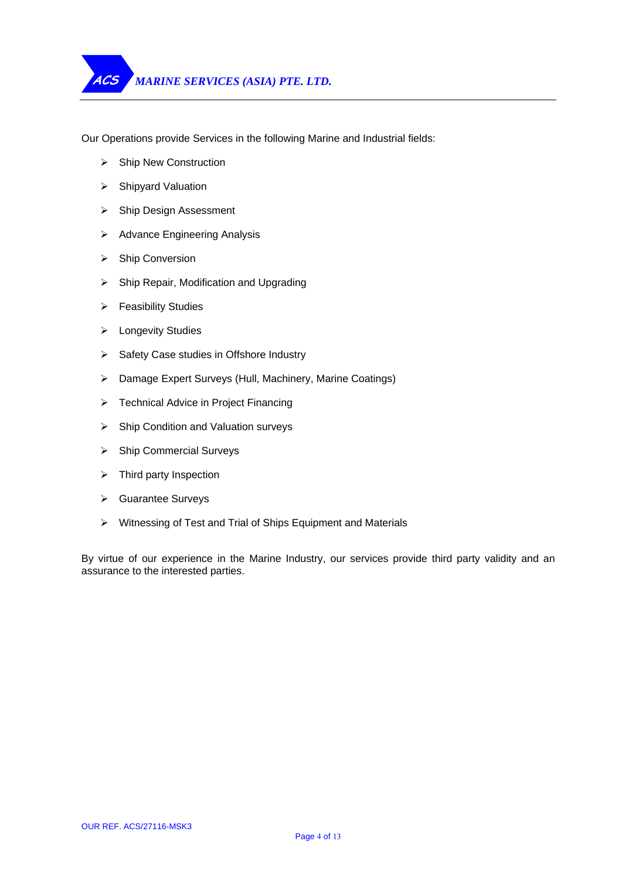Our Operations provide Services in the following Marine and Industrial fields:

- ¾ Ship New Construction
- ¾ Shipyard Valuation
- ¾ Ship Design Assessment
- $\triangleright$  Advance Engineering Analysis
- ¾ Ship Conversion
- $\triangleright$  Ship Repair, Modification and Upgrading
- $\triangleright$  Feasibility Studies
- ¾ Longevity Studies
- ¾ Safety Case studies in Offshore Industry
- ¾ Damage Expert Surveys (Hull, Machinery, Marine Coatings)
- ¾ Technical Advice in Project Financing
- ¾ Ship Condition and Valuation surveys
- ¾ Ship Commercial Surveys
- $\triangleright$  Third party Inspection
- ¾ Guarantee Surveys
- ¾ Witnessing of Test and Trial of Ships Equipment and Materials

By virtue of our experience in the Marine Industry, our services provide third party validity and an assurance to the interested parties.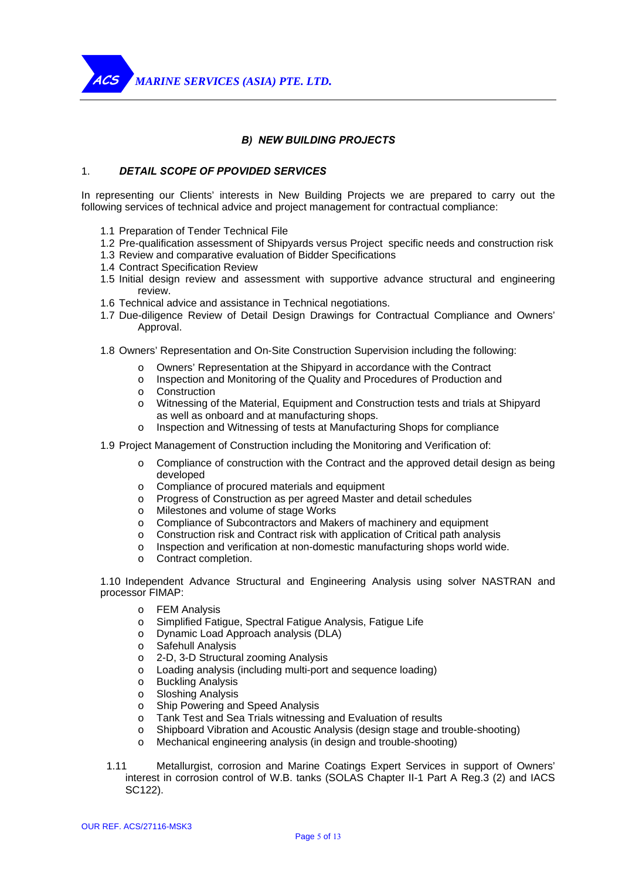*MARINE SERVICES (ASIA) PTE. LTD.* **ACS** 

## *B) NEW BUILDING PROJECTS*

## 1. *DETAIL SCOPE OF PPOVIDED SERVICES*

In representing our Clients' interests in New Building Projects we are prepared to carry out the following services of technical advice and project management for contractual compliance:

- 1.1 Preparation of Tender Technical File
- 1.2 Pre-qualification assessment of Shipyards versus Project specific needs and construction risk
- 1.3 Review and comparative evaluation of Bidder Specifications
- 1.4 Contract Specification Review
- 1.5 Initial design review and assessment with supportive advance structural and engineering review.
- 1.6 Technical advice and assistance in Technical negotiations.
- 1.7 Due-diligence Review of Detail Design Drawings for Contractual Compliance and Owners' Approval.
- 1.8 Owners' Representation and On-Site Construction Supervision including the following:
	- o Owners' Representation at the Shipyard in accordance with the Contract
	- o Inspection and Monitoring of the Quality and Procedures of Production and
	- o Construction
	- o Witnessing of the Material, Equipment and Construction tests and trials at Shipyard as well as onboard and at manufacturing shops.
	- o Inspection and Witnessing of tests at Manufacturing Shops for compliance
- 1.9 Project Management of Construction including the Monitoring and Verification of:
	- $\circ$  Compliance of construction with the Contract and the approved detail design as being developed
	- o Compliance of procured materials and equipment
	- o Progress of Construction as per agreed Master and detail schedules
	- o Milestones and volume of stage Works
	- o Compliance of Subcontractors and Makers of machinery and equipment
	- o Construction risk and Contract risk with application of Critical path analysis
	- o Inspection and verification at non-domestic manufacturing shops world wide.
	- o Contract completion.

1.10 Independent Advance Structural and Engineering Analysis using solver NASTRAN and processor FIMAP:

- o FEM Analysis
- o Simplified Fatigue, Spectral Fatigue Analysis, Fatigue Life
- o Dynamic Load Approach analysis (DLA)
- o Safehull Analysis
- o 2-D, 3-D Structural zooming Analysis
- o Loading analysis (including multi-port and sequence loading)
- o Buckling Analysis
- o Sloshing Analysis
- o Ship Powering and Speed Analysis
- o Tank Test and Sea Trials witnessing and Evaluation of results
- o Shipboard Vibration and Acoustic Analysis (design stage and trouble-shooting)
- o Mechanical engineering analysis (in design and trouble-shooting)
- 1.11 Metallurgist, corrosion and Marine Coatings Expert Services in support of Owners' interest in corrosion control of W.B. tanks (SOLAS Chapter II-1 Part A Reg.3 (2) and IACS SC122).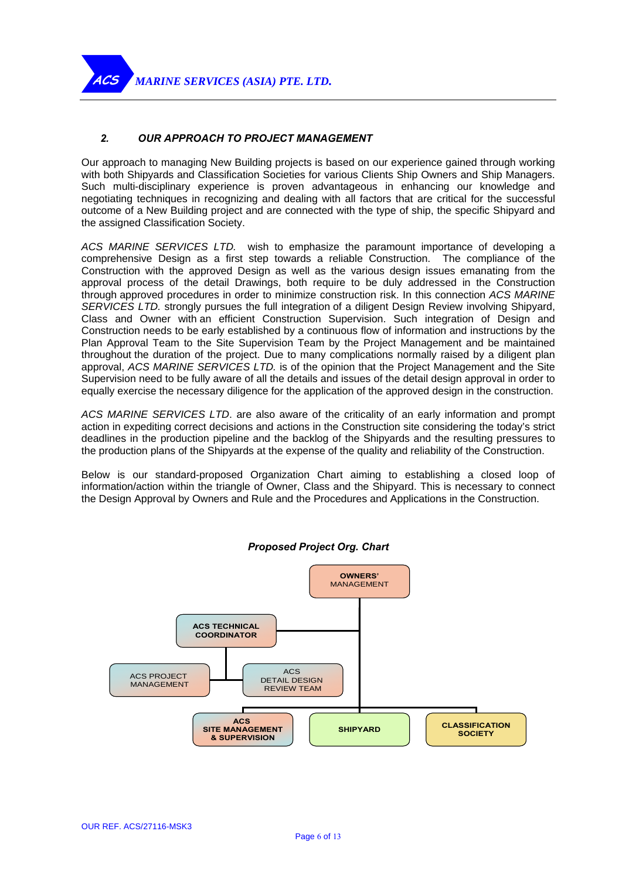*MARINE SERVICES (ASIA) PTE. LTD.*

**ACS** 

## *2. OUR APPROACH TO PROJECT MANAGEMENT*

Our approach to managing New Building projects is based on our experience gained through working with both Shipyards and Classification Societies for various Clients Ship Owners and Ship Managers. Such multi-disciplinary experience is proven advantageous in enhancing our knowledge and negotiating techniques in recognizing and dealing with all factors that are critical for the successful outcome of a New Building project and are connected with the type of ship, the specific Shipyard and the assigned Classification Society.

*ACS MARINE SERVICES LTD.* wish to emphasize the paramount importance of developing a comprehensive Design as a first step towards a reliable Construction. The compliance of the Construction with the approved Design as well as the various design issues emanating from the approval process of the detail Drawings, both require to be duly addressed in the Construction through approved procedures in order to minimize construction risk. In this connection *ACS MARINE SERVICES LTD.* strongly pursues the full integration of a diligent Design Review involving Shipyard, Class and Owner with an efficient Construction Supervision. Such integration of Design and Construction needs to be early established by a continuous flow of information and instructions by the Plan Approval Team to the Site Supervision Team by the Project Management and be maintained throughout the duration of the project. Due to many complications normally raised by a diligent plan approval, *ACS MARINE SERVICES LTD.* is of the opinion that the Project Management and the Site Supervision need to be fully aware of all the details and issues of the detail design approval in order to equally exercise the necessary diligence for the application of the approved design in the construction.

*ACS MARINE SERVICES LTD*. are also aware of the criticality of an early information and prompt action in expediting correct decisions and actions in the Construction site considering the today's strict deadlines in the production pipeline and the backlog of the Shipyards and the resulting pressures to the production plans of the Shipyards at the expense of the quality and reliability of the Construction.

Below is our standard-proposed Organization Chart aiming to establishing a closed loop of information/action within the triangle of Owner, Class and the Shipyard. This is necessary to connect the Design Approval by Owners and Rule and the Procedures and Applications in the Construction.



*Proposed Project Org. Chart*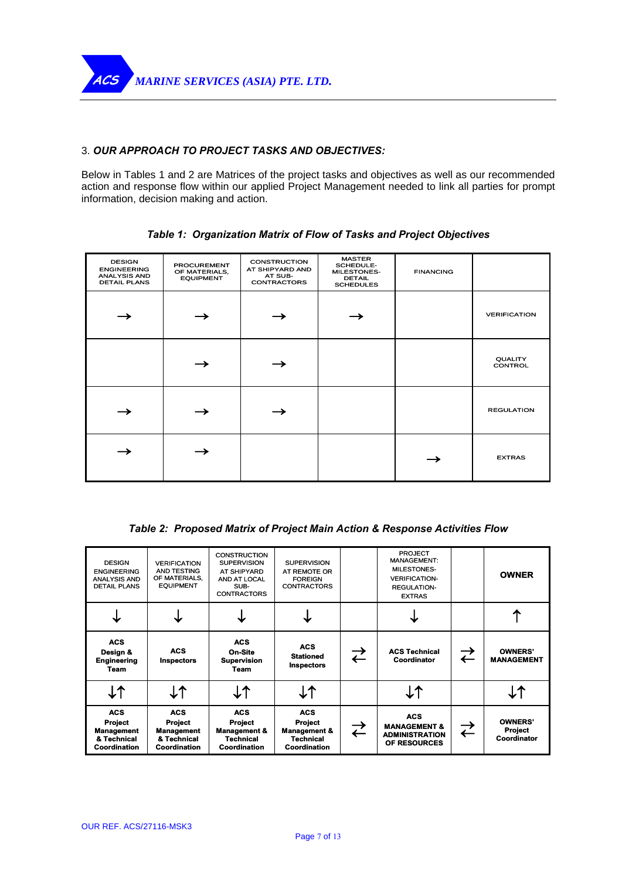

## 3. *OUR APPROACH TO PROJECT TASKS AND OBJECTIVES:*

Below in Tables 1 and 2 are Matrices of the project tasks and objectives as well as our recommended action and response flow within our applied Project Management needed to link all parties for prompt information, decision making and action.

| <b>DESIGN</b><br><b>ENGINEERING</b><br><b>ANALYSIS AND</b><br><b>DETAIL PLANS</b> | <b>PROCUREMENT</b><br>OF MATERIALS,<br><b>EQUIPMENT</b> | <b>CONSTRUCTION</b><br>AT SHIPYARD AND<br>AT SUB-<br><b>CONTRACTORS</b> | <b>MASTER</b><br>SCHEDULE-<br>MILESTONES-<br><b>DETAIL</b><br><b>SCHEDULES</b> | <b>FINANCING</b> |                           |
|-----------------------------------------------------------------------------------|---------------------------------------------------------|-------------------------------------------------------------------------|--------------------------------------------------------------------------------|------------------|---------------------------|
| →                                                                                 |                                                         |                                                                         |                                                                                |                  | <b>VERIFICATION</b>       |
|                                                                                   |                                                         |                                                                         |                                                                                |                  | <b>QUALITY</b><br>CONTROL |
|                                                                                   |                                                         |                                                                         |                                                                                |                  | <b>REGULATION</b>         |
|                                                                                   |                                                         |                                                                         |                                                                                |                  | <b>EXTRAS</b>             |

*Table 1: Organization Matrix of Flow of Tasks and Project Objectives* 

*Table 2: Proposed Matrix of Project Main Action & Response Activities Flow* 

| <b>DESIGN</b><br><b>ENGINEERING</b><br><b>ANALYSIS AND</b><br><b>DETAIL PLANS</b> | <b>VERIFICATION</b><br>AND TESTING<br>OF MATERIALS,<br><b>EQUIPMENT</b>          | <b>CONSTRUCTION</b><br><b>SUPERVISION</b><br>AT SHIPYARD<br>AND AT LOCAL<br>SUB-<br><b>CONTRACTORS</b> | <b>SUPERVISION</b><br>AT REMOTE OR<br><b>FOREIGN</b><br><b>CONTRACTORS</b>                         |                      | <b>PROJECT</b><br><b>MANAGEMENT:</b><br>MILESTONES-<br><b>VERIFICATION-</b><br><b>REGULATION-</b><br><b>EXTRAS</b> |                      | <b>OWNER</b>                                    |
|-----------------------------------------------------------------------------------|----------------------------------------------------------------------------------|--------------------------------------------------------------------------------------------------------|----------------------------------------------------------------------------------------------------|----------------------|--------------------------------------------------------------------------------------------------------------------|----------------------|-------------------------------------------------|
|                                                                                   |                                                                                  |                                                                                                        |                                                                                                    |                      |                                                                                                                    |                      |                                                 |
| <b>ACS</b><br>Design &<br><b>Engineering</b><br>Team                              | <b>ACS</b><br><b>Inspectors</b>                                                  | <b>ACS</b><br>On-Site<br><b>Supervision</b><br>Team                                                    | <b>ACS</b><br><b>Stationed</b><br><b>Inspectors</b>                                                | $\overrightarrow{C}$ | <b>ACS Technical</b><br>Coordinator                                                                                | ⇄                    | <b>OWNERS'</b><br><b>MANAGEMENT</b>             |
| <b>L1</b>                                                                         | <b>J1</b>                                                                        | <b>J↑</b>                                                                                              | $\downarrow$ $\uparrow$                                                                            |                      |                                                                                                                    |                      | <b>J↑</b>                                       |
| <b>ACS</b><br><b>Project</b><br>Management<br>& Technical<br><b>Coordination</b>  | <b>ACS</b><br><b>Project</b><br><b>Management</b><br>& Technical<br>Coordination | <b>ACS</b><br><b>Project</b><br><b>Management &amp;</b><br><b>Technical</b><br><b>Coordination</b>     | <b>ACS</b><br><b>Project</b><br><b>Management &amp;</b><br><b>Technical</b><br><b>Coordination</b> | ⇄                    | <b>ACS</b><br><b>MANAGEMENT &amp;</b><br><b>ADMINISTRATION</b><br>OF RESOURCES                                     | $\overrightarrow{C}$ | <b>OWNERS'</b><br><b>Project</b><br>Coordinator |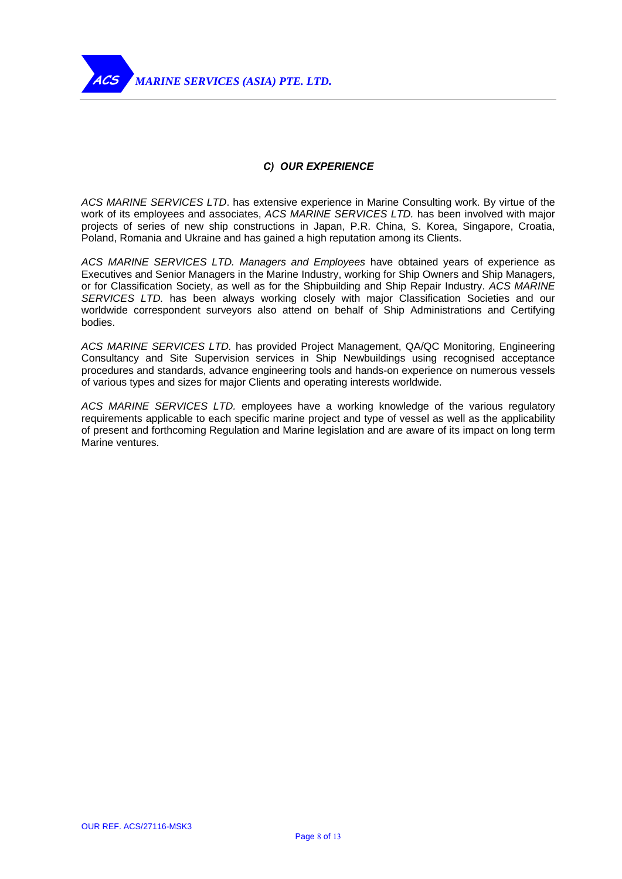

## *C) OUR EXPERIENCE*

*ACS MARINE SERVICES LTD*. has extensive experience in Marine Consulting work. By virtue of the work of its employees and associates, *ACS MARINE SERVICES LTD.* has been involved with major projects of series of new ship constructions in Japan, P.R. China, S. Korea, Singapore, Croatia, Poland, Romania and Ukraine and has gained a high reputation among its Clients.

*ACS MARINE SERVICES LTD. Managers and Employees* have obtained years of experience as Executives and Senior Managers in the Marine Industry, working for Ship Owners and Ship Managers, or for Classification Society, as well as for the Shipbuilding and Ship Repair Industry. *ACS MARINE SERVICES LTD.* has been always working closely with major Classification Societies and our worldwide correspondent surveyors also attend on behalf of Ship Administrations and Certifying bodies.

*ACS MARINE SERVICES LTD.* has provided Project Management, QA/QC Monitoring, Engineering Consultancy and Site Supervision services in Ship Newbuildings using recognised acceptance procedures and standards, advance engineering tools and hands-on experience on numerous vessels of various types and sizes for major Clients and operating interests worldwide.

*ACS MARINE SERVICES LTD.* employees have a working knowledge of the various regulatory requirements applicable to each specific marine project and type of vessel as well as the applicability of present and forthcoming Regulation and Marine legislation and are aware of its impact on long term Marine ventures.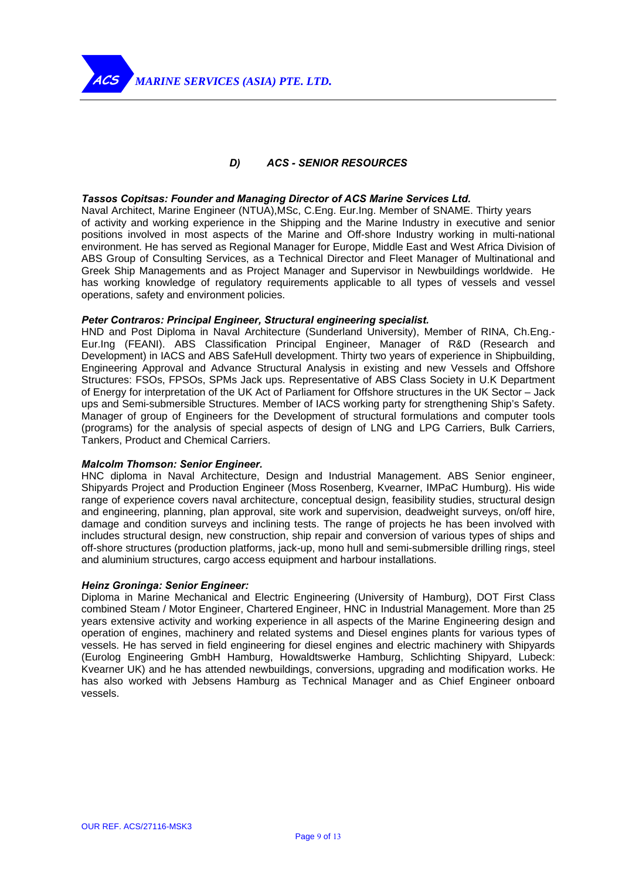

## *D) ACS - SENIOR RESOURCES*

#### *Tassos Copitsas: Founder and Managing Director of ACS Marine Services Ltd.*

Naval Architect, Marine Engineer (NTUA),MSc, C.Eng. Eur.Ing. Member of SNAME. Thirty years of activity and working experience in the Shipping and the Marine Industry in executive and senior positions involved in most aspects of the Marine and Off-shore Industry working in multi-national environment. He has served as Regional Manager for Europe, Middle East and West Africa Division of ABS Group of Consulting Services, as a Technical Director and Fleet Manager of Multinational and Greek Ship Managements and as Project Manager and Supervisor in Newbuildings worldwide. He has working knowledge of regulatory requirements applicable to all types of vessels and vessel operations, safety and environment policies.

#### *Peter Contraros: Principal Engineer, Structural engineering specialist.*

HND and Post Diploma in Naval Architecture (Sunderland University), Member of RINA, Ch.Eng.- Eur.Ing (FEANI). ABS Classification Principal Engineer, Manager of R&D (Research and Development) in IACS and ABS SafeHull development. Thirty two years of experience in Shipbuilding, Engineering Approval and Advance Structural Analysis in existing and new Vessels and Offshore Structures: FSOs, FPSOs, SPMs Jack ups. Representative of ABS Class Society in U.K Department of Energy for interpretation of the UK Act of Parliament for Offshore structures in the UK Sector – Jack ups and Semi-submersible Structures. Member of IACS working party for strengthening Ship's Safety. Manager of group of Engineers for the Development of structural formulations and computer tools (programs) for the analysis of special aspects of design of LNG and LPG Carriers, Bulk Carriers, Tankers, Product and Chemical Carriers.

## *Malcolm Thomson: Senior Engineer.*

HNC diploma in Naval Architecture, Design and Industrial Management. ABS Senior engineer, Shipyards Project and Production Engineer (Moss Rosenberg, Kvearner, IMPaC Humburg). His wide range of experience covers naval architecture, conceptual design, feasibility studies, structural design and engineering, planning, plan approval, site work and supervision, deadweight surveys, on/off hire, damage and condition surveys and inclining tests. The range of projects he has been involved with includes structural design, new construction, ship repair and conversion of various types of ships and off-shore structures (production platforms, jack-up, mono hull and semi-submersible drilling rings, steel and aluminium structures, cargo access equipment and harbour installations.

#### *Heinz Groninga: Senior Engineer:*

Diploma in Marine Mechanical and Electric Engineering (University of Hamburg), DOT First Class combined Steam / Motor Engineer, Chartered Engineer, HNC in Industrial Management. More than 25 years extensive activity and working experience in all aspects of the Marine Engineering design and operation of engines, machinery and related systems and Diesel engines plants for various types of vessels. He has served in field engineering for diesel engines and electric machinery with Shipyards (Eurolog Engineering GmbH Hamburg, Howaldtswerke Hamburg, Schlichting Shipyard, Lubeck: Kvearner UK) and he has attended newbuildings, conversions, upgrading and modification works. He has also worked with Jebsens Hamburg as Technical Manager and as Chief Engineer onboard vessels.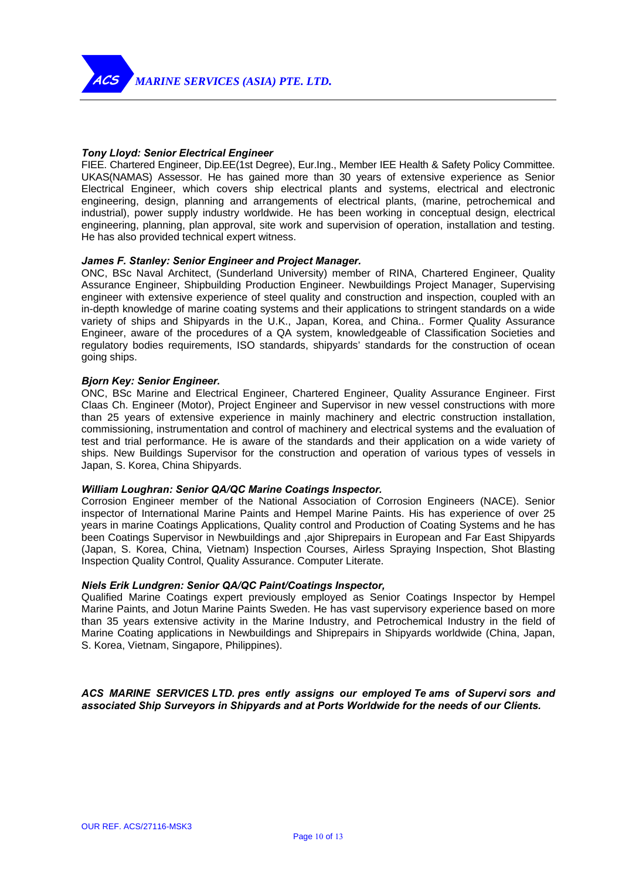

### *Tony Lloyd: Senior Electrical Engineer*

FIEE. Chartered Engineer, Dip.EE(1st Degree), Eur.Ing., Member IEE Health & Safety Policy Committee. UKAS(NAMAS) Assessor. He has gained more than 30 years of extensive experience as Senior Electrical Engineer, which covers ship electrical plants and systems, electrical and electronic engineering, design, planning and arrangements of electrical plants, (marine, petrochemical and industrial), power supply industry worldwide. He has been working in conceptual design, electrical engineering, planning, plan approval, site work and supervision of operation, installation and testing. He has also provided technical expert witness.

#### *James F. Stanley: Senior Engineer and Project Manager.*

ONC, BSc Naval Architect, (Sunderland University) member of RINA, Chartered Engineer, Quality Assurance Engineer, Shipbuilding Production Engineer. Newbuildings Project Manager, Supervising engineer with extensive experience of steel quality and construction and inspection, coupled with an in-depth knowledge of marine coating systems and their applications to stringent standards on a wide variety of ships and Shipyards in the U.K., Japan, Korea, and China.. Former Quality Assurance Engineer, aware of the procedures of a QA system, knowledgeable of Classification Societies and regulatory bodies requirements, ISO standards, shipyards' standards for the construction of ocean going ships.

#### *Bjorn Key: Senior Engineer.*

ONC, BSc Marine and Electrical Engineer, Chartered Engineer, Quality Assurance Engineer. First Claas Ch. Engineer (Motor), Project Engineer and Supervisor in new vessel constructions with more than 25 years of extensive experience in mainly machinery and electric construction installation, commissioning, instrumentation and control of machinery and electrical systems and the evaluation of test and trial performance. He is aware of the standards and their application on a wide variety of ships. New Buildings Supervisor for the construction and operation of various types of vessels in Japan, S. Korea, China Shipyards.

#### *William Loughran: Senior QA/QC Marine Coatings Inspector.*

Corrosion Engineer member of the National Association of Corrosion Engineers (NACE). Senior inspector of International Marine Paints and Hempel Marine Paints. His has experience of over 25 years in marine Coatings Applications, Quality control and Production of Coating Systems and he has been Coatings Supervisor in Newbuildings and ,ajor Shiprepairs in European and Far East Shipyards (Japan, S. Korea, China, Vietnam) Inspection Courses, Airless Spraying Inspection, Shot Blasting Inspection Quality Control, Quality Assurance. Computer Literate.

#### *Niels Erik Lundgren: Senior QA/QC Paint/Coatings Inspector,*

Qualified Marine Coatings expert previously employed as Senior Coatings Inspector by Hempel Marine Paints, and Jotun Marine Paints Sweden. He has vast supervisory experience based on more than 35 years extensive activity in the Marine Industry, and Petrochemical Industry in the field of Marine Coating applications in Newbuildings and Shiprepairs in Shipyards worldwide (China, Japan, S. Korea, Vietnam, Singapore, Philippines).

*ACS MARINE SERVICES LTD. pres ently assigns our employed Te ams of Supervi sors and associated Ship Surveyors in Shipyards and at Ports Worldwide for the needs of our Clients.*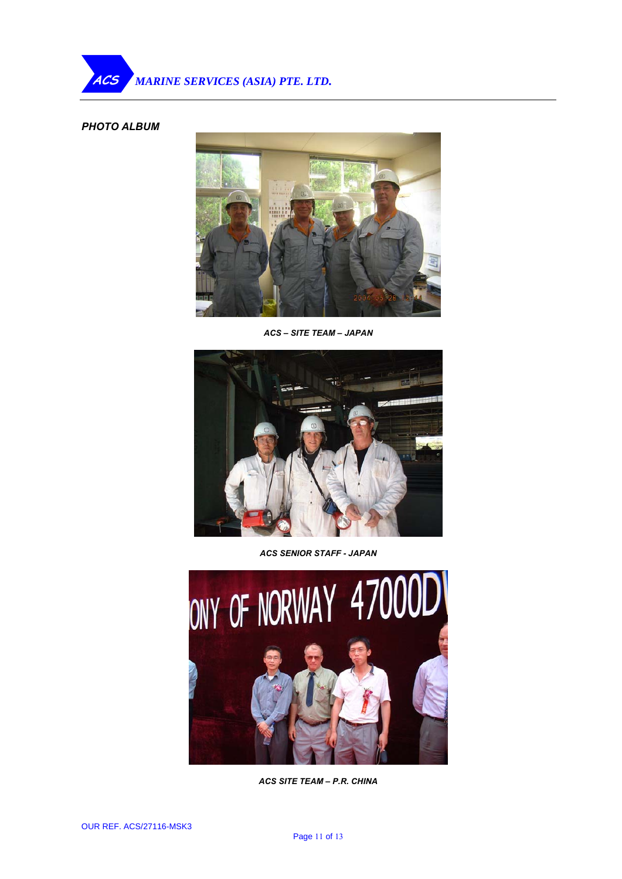## *PHOTO ALBUM*



*ACS – SITE TEAM – JAPAN* 



*ACS SENIOR STAFF - JAPAN* 



*ACS SITE TEAM – P.R. CHINA*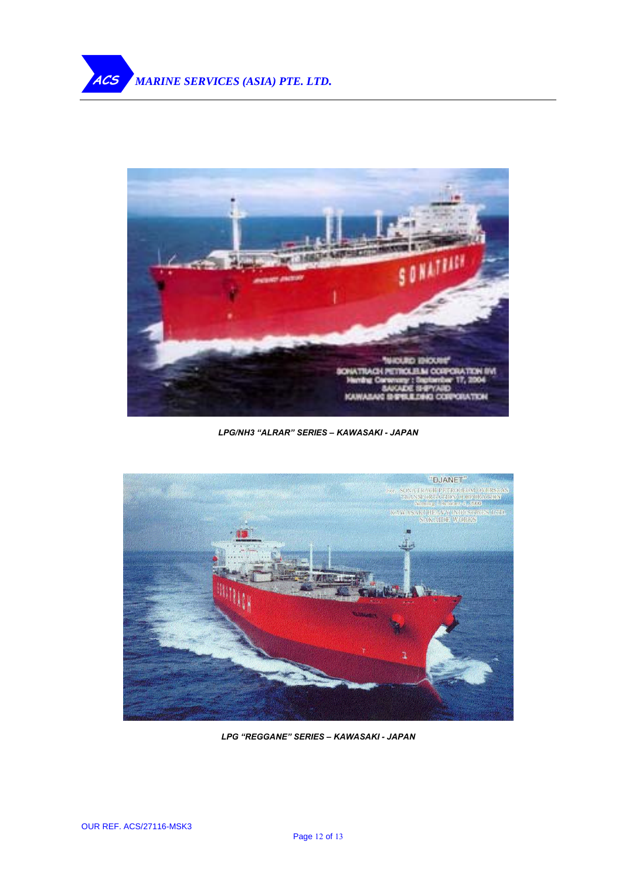

*LPG/NH3 "ALRAR" SERIES – KAWASAKI - JAPAN* 



*LPG "REGGANE" SERIES – KAWASAKI - JAPAN*